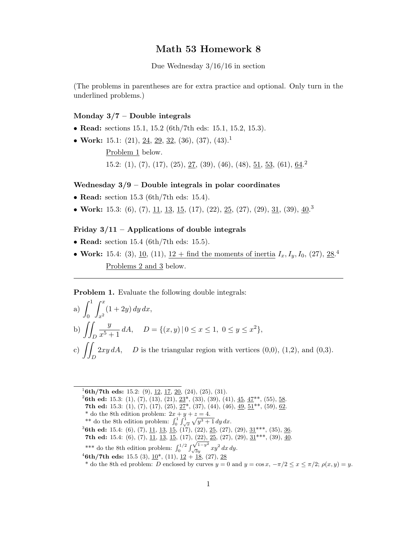# Math 53 Homework 8

Due Wednesday 3/16/16 in section

(The problems in parentheses are for extra practice and optional. Only turn in the underlined problems.)

## Monday 3/7 – Double integrals

- Read: sections 15.1, 15.2 (6th/7th eds: 15.1, 15.2, 15.3).
- Work: 15.1: (21), <u>24, 29, 32</u>, (36), (37), (43).<sup>1</sup>

Problem 1 below.

15.2: (1), (7), (17), (25), 27, (39), (46), (48), 51, 53, (61), 64<sup>2</sup>

#### Wednesday  $3/9$  – Double integrals in polar coordinates

- **Read:** section 15.3 (6th/7th eds: 15.4).
- Work: 15.3: (6), (7), 11, 13, 15, (17), (22), 25, (27), (29), 31, (39),  $\underline{40}$ .<sup>3</sup>

### Friday  $3/11$  – Applications of double integrals

- Read: section 15.4 (6th/7th eds: 15.5).
- Work: 15.4: (3), <u>10</u>, (11), <u>12 + find the moments of inertia</u>  $I_x, I_y, I_0$ , (27), 28.<sup>4</sup> Problems 2 and 3 below.

Problem 1. Evaluate the following double integrals:

a) 
$$
\int_0^1 \int_{x^2}^x (1+2y) \, dy \, dx,
$$
  
b) 
$$
\iint_D \frac{y}{x^5+1} \, dA, \quad D = \{(x, y) \mid 0 \le x \le 1, \ 0 \le y \le x^2\},
$$
  
c) 
$$
\iint_D 2xy \, dA, \quad D \text{ is the triangular region with vertices } (0,0), (1,2), \text{ and } (0,3).
$$

 $16th/7th$  eds: 15.2: (9), 12, 17, 20, (24), (25), (31).

<sup>2</sup>6th ed: 15.3: (1), (7), (13), (21), <u>23</u><sup>\*</sup>, (33), (39), (41), <u>45</u>, <u>47</u><sup>\*\*</sup>, (55), 58.

- 7th ed: 15.3: (1), (7), (17), (25),  $27^*$ , (37), (44), (46),  $49$ ,  $51^{**}$ , (59),  $62$ .
- 
- \* do the 8th edition problem:  $2x + y + z = 4$ .<br>\*\* do the 8th edition problem:  $\int_0^1 \int_{\sqrt{x}}^1 \sqrt{y^3 + 1} \, dy \, dx$ .
- <sup>3</sup>6th ed: 15.4: (6), (7), <u>11, 13, 15</u>, (17), (22), <u>25</u>, (27), (29),  $31***$ , (35),  $36$ .
- **7th ed:** 15.4: (6), (7), <u>11, 13, 15</u>, (17), (22), 25, (27), (29),  $31***$ , (39),  $40$ .
- \*\*\* do the 8th edition problem:  $\int_0^{1/2} \int_{\sqrt{3}y}^{\sqrt{1-y^2}} xy^2 dx dy.$
- $^{4}$ 6th/7th eds: 15.5 (3),  $\underline{10}^{*}$ , (11),  $\underline{12} + \underline{18}$ , (27),  $\underline{28}$

\* do the 8th ed problem: D enclosed by curves  $y = 0$  and  $y = \cos x$ ,  $-\pi/2 \le x \le \pi/2$ ;  $\rho(x, y) = y$ .